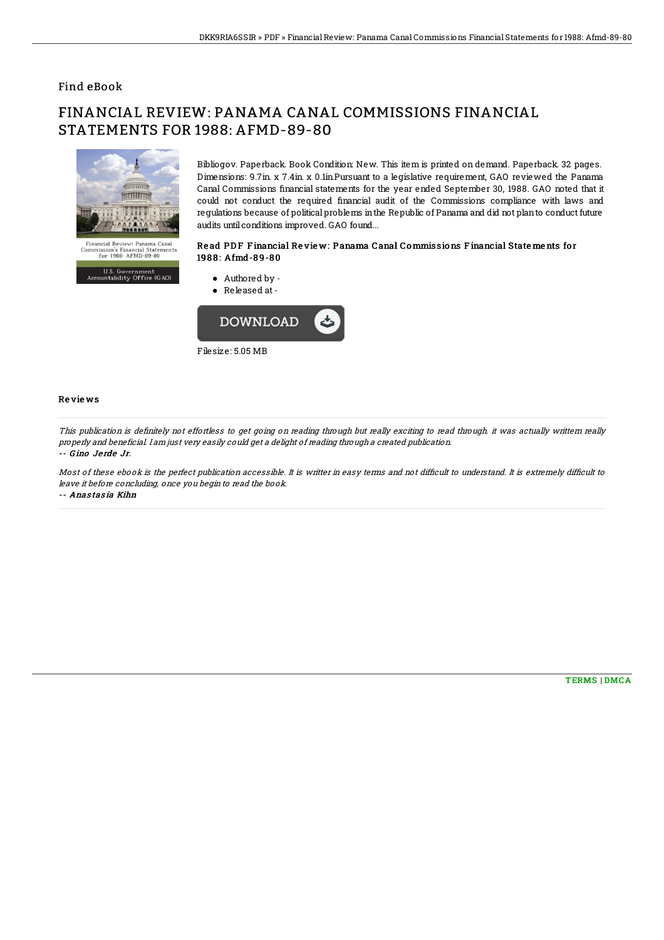### Find eBook

# FINANCIAL REVIEW: PANAMA CANAL COMMISSIONS FINANCIAL STATEMENTS FOR 1988: AFMD-89-80



U.S. Government<br>Accountability Office (GAO)

Bibliogov. Paperback. Book Condition: New. This item is printed on demand. Paperback. 32 pages. Dimensions: 9.7in. x 7.4in. x 0.1in.Pursuant to a legislative requirement, GAO reviewed the Panama Canal Commissions 5nancial statements for the year ended September 30, 1988. GAO noted that it could not conduct the required 5nancial audit of the Commissions compliance with laws and regulations because of political problems inthe Republic of Panama and did not planto conduct future audits until conditions improved. GAO found...

#### Re ad PD F F inancial Re vie w: Panama Canal Commissions F inancial State me nts fo r 1988: Afmd-89-80

Authored by - Released at-



#### Re vie ws

This publication is definitely not effortless to get going on reading through but really exciting to read through. it was actually writtern really properly and beneficial. I am just very easily could get <sup>a</sup> delight of reading through <sup>a</sup> created publication. -- G ino Je rde Jr.

Most of these ebook is the perfect publication accessible. It is writter in easy terms and not difficult to understand. It is extremely difficult to leave it before concluding, once you begin to read the book. -- Anas tas ia Kihn